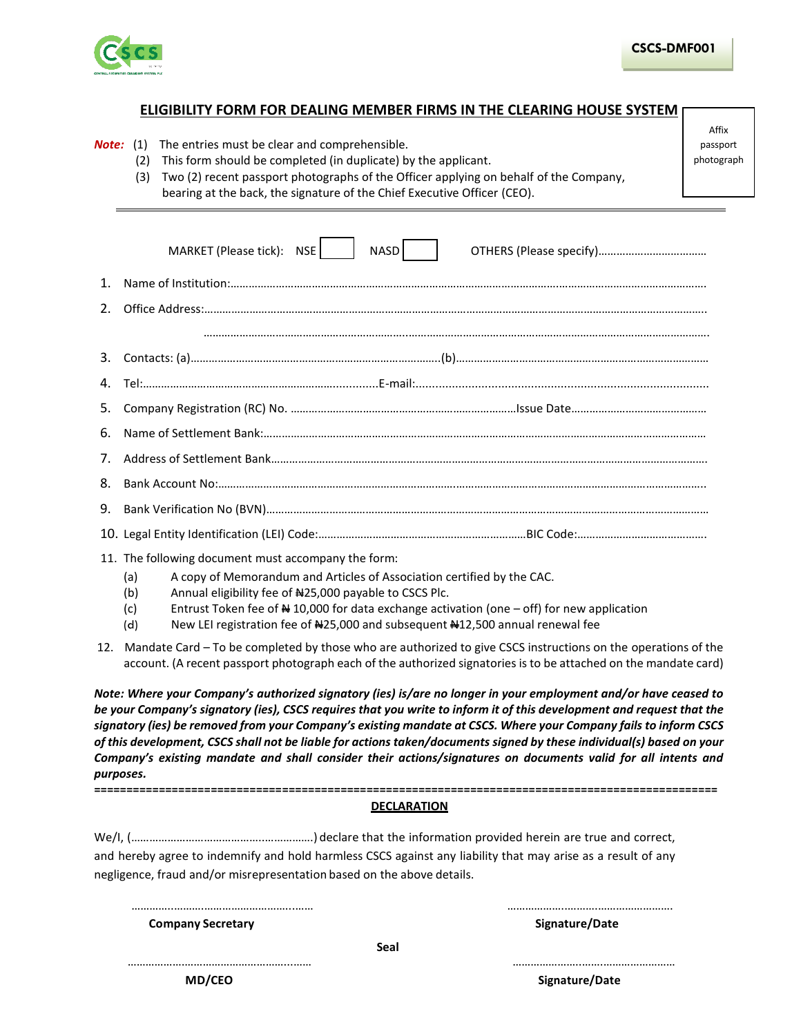

Affix

## **ELIGIBILITY FORM FOR DEALING MEMBER FIRMS IN THE CLEARING HOUSE SYSTEM**

|     | <b>Note:</b> (1) The entries must be clear and comprehensible.<br>This form should be completed (in duplicate) by the applicant.<br>(2)                                                                                                                                                                                                                                                                                                                                                                                                                                                                | passport<br>photograph |  |  |  |  |
|-----|--------------------------------------------------------------------------------------------------------------------------------------------------------------------------------------------------------------------------------------------------------------------------------------------------------------------------------------------------------------------------------------------------------------------------------------------------------------------------------------------------------------------------------------------------------------------------------------------------------|------------------------|--|--|--|--|
|     | Two (2) recent passport photographs of the Officer applying on behalf of the Company,<br>(3)                                                                                                                                                                                                                                                                                                                                                                                                                                                                                                           |                        |  |  |  |  |
|     | bearing at the back, the signature of the Chief Executive Officer (CEO).                                                                                                                                                                                                                                                                                                                                                                                                                                                                                                                               |                        |  |  |  |  |
|     |                                                                                                                                                                                                                                                                                                                                                                                                                                                                                                                                                                                                        |                        |  |  |  |  |
|     | NASD<br>MARKET (Please tick): NSE                                                                                                                                                                                                                                                                                                                                                                                                                                                                                                                                                                      |                        |  |  |  |  |
| 1.  |                                                                                                                                                                                                                                                                                                                                                                                                                                                                                                                                                                                                        |                        |  |  |  |  |
| 2.  |                                                                                                                                                                                                                                                                                                                                                                                                                                                                                                                                                                                                        |                        |  |  |  |  |
|     |                                                                                                                                                                                                                                                                                                                                                                                                                                                                                                                                                                                                        |                        |  |  |  |  |
| 3.  | $\text{Contents: (a)}\text{}$                                                                                                                                                                                                                                                                                                                                                                                                                                                                                                                                                                          |                        |  |  |  |  |
| 4.  |                                                                                                                                                                                                                                                                                                                                                                                                                                                                                                                                                                                                        |                        |  |  |  |  |
| 5.  |                                                                                                                                                                                                                                                                                                                                                                                                                                                                                                                                                                                                        |                        |  |  |  |  |
| 6.  |                                                                                                                                                                                                                                                                                                                                                                                                                                                                                                                                                                                                        |                        |  |  |  |  |
| 7.  |                                                                                                                                                                                                                                                                                                                                                                                                                                                                                                                                                                                                        |                        |  |  |  |  |
| 8.  |                                                                                                                                                                                                                                                                                                                                                                                                                                                                                                                                                                                                        |                        |  |  |  |  |
| 9.  |                                                                                                                                                                                                                                                                                                                                                                                                                                                                                                                                                                                                        |                        |  |  |  |  |
|     |                                                                                                                                                                                                                                                                                                                                                                                                                                                                                                                                                                                                        |                        |  |  |  |  |
|     | 11. The following document must accompany the form:                                                                                                                                                                                                                                                                                                                                                                                                                                                                                                                                                    |                        |  |  |  |  |
|     | A copy of Memorandum and Articles of Association certified by the CAC.<br>(a)<br>Annual eligibility fee of #25,000 payable to CSCS Plc.                                                                                                                                                                                                                                                                                                                                                                                                                                                                |                        |  |  |  |  |
|     | (b)<br>Entrust Token fee of $\frac{1}{2}$ 10,000 for data exchange activation (one - off) for new application<br>(c)                                                                                                                                                                                                                                                                                                                                                                                                                                                                                   |                        |  |  |  |  |
|     | New LEI registration fee of #25,000 and subsequent #12,500 annual renewal fee<br>(d)                                                                                                                                                                                                                                                                                                                                                                                                                                                                                                                   |                        |  |  |  |  |
| 12. | Mandate Card - To be completed by those who are authorized to give CSCS instructions on the operations of the<br>account. (A recent passport photograph each of the authorized signatories is to be attached on the mandate card)                                                                                                                                                                                                                                                                                                                                                                      |                        |  |  |  |  |
|     | Note: Where your Company's authorized signatory (ies) is/are no longer in your employment and/or have ceased to<br>be your Company's signatory (ies), CSCS requires that you write to inform it of this development and request that the<br>signatory (ies) be removed from your Company's existing mandate at CSCS. Where your Company fails to inform CSCS<br>of this development, CSCS shall not be liable for actions taken/documents signed by these individual(s) based on your<br>Company's existing mandate and shall consider their actions/signatures on documents valid for all intents and |                        |  |  |  |  |

## **================================================================================================ DECLARATION**

|                                                                        | and hereby agree to indemnify and hold harmless CSCS against any liability that may arise as a result of any |
|------------------------------------------------------------------------|--------------------------------------------------------------------------------------------------------------|
| negligence, fraud and/or misrepresentation based on the above details. |                                                                                                              |

…………..……….………………………...…… ………………..……….…………………….

……………….……………………………...…… …………………..…….……………………

**Company Secretary Company** Signature Company Secretary Company Signature Company Signature Company Signature Company Signature Company Signature Company Signature Company Signature Company Signature Company Signature Comp

*purposes.*

**MD/CEO** Signature/Date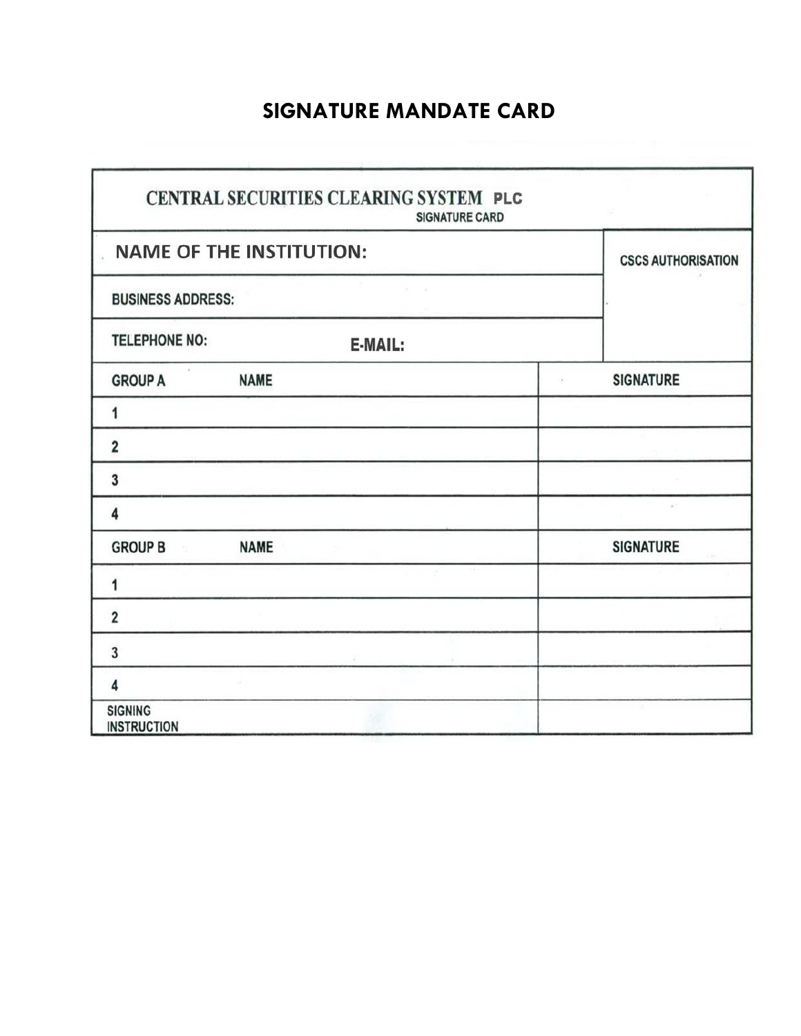## **SIGNATURE MANDATE CARD**

| CENTRAL SECURITIES CLEARING SYSTEM PLC<br><b>SIGNATURE CARD</b> |                           |                  |  |  |  |
|-----------------------------------------------------------------|---------------------------|------------------|--|--|--|
| <b>NAME OF THE INSTITUTION:</b>                                 | <b>CSCS AUTHORISATION</b> |                  |  |  |  |
| <b>BUSINESS ADDRESS:</b>                                        |                           |                  |  |  |  |
| <b>TELEPHONE NO:</b>                                            | E-MAIL:                   |                  |  |  |  |
| <b>GROUP A</b>                                                  | <b>NAME</b>               | <b>SIGNATURE</b> |  |  |  |
| 1                                                               |                           |                  |  |  |  |
| $\overline{\mathbf{2}}$                                         |                           |                  |  |  |  |
| 3                                                               |                           |                  |  |  |  |
| $\overline{\mathbf{4}}$                                         |                           | $\mu$ .          |  |  |  |
| <b>GROUP B</b><br>$\langle 1 \rangle$                           | <b>NAME</b>               | <b>SIGNATURE</b> |  |  |  |
| 1                                                               |                           |                  |  |  |  |
| $\overline{\mathbf{2}}$                                         |                           |                  |  |  |  |
| $\mathbf{3}$                                                    |                           |                  |  |  |  |
| 4                                                               |                           |                  |  |  |  |
| <b>SIGNING</b><br><b>INSTRUCTION</b>                            |                           |                  |  |  |  |